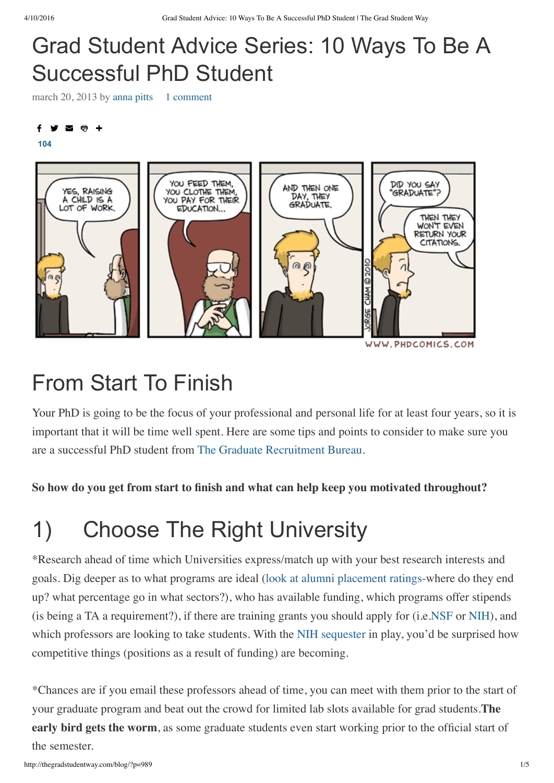## Grad Student Advice Series: 10 Ways To Be A Successful PhD Student

march 20, 2013 by [anna](http://thegradstudentway.com/blog/?author=127) pitts 1 [comment](http://thegradstudentway.com/blog/?p=989#comments)

#### f

**[104](http://thegradstudentway.com/blog/?p=989#)**



### From Start To Finish

Your PhD is going to be the focus of your professional and personal life for at least four years, so it is important that it will be time well spent. Here are some tips and points to consider to make sure you are a successful PhD student from The Graduate [Recruitment](http://www.grb.uk.com/) Bureau.

#### **So how do you get from start to finish and what can help keep you motivated throughout?**

## 1) Choose The Right University

\*Research ahead of time which Universities express/match up with your best research interests and goals. Dig deeper as to what programs are ideal (look at alumni [placement](http://www.thegradstudentway.com/CGSandETSRecentReport.zip) ratings-where do they end up? what percentage go in what sectors?), who has available funding, which programs offer stipends (is being a TA a requirement?), if there are training grants you should apply for (i.e[.NSF](http://www.nsf.gov/funding/pgm_summ.jsp?pims_id=6201) or [NIH\)](http://grants.nih.gov/training/nrsa.htm), and which professors are looking to take students. With the NIH [sequester](http://www.genomeweb.com/blog/agency-heads-tell-senate-sequester-will-kill-jobs-cut-grants) in play, you'd be surprised how competitive things (positions as a result of funding) are becoming.

\*Chances are if you email these professors ahead of time, you can meet with them prior to the start of your graduate program and beat out the crowd for limited lab slots available for grad students.**The early bird gets the worm**, as some graduate students even start working prior to the official start of the semester.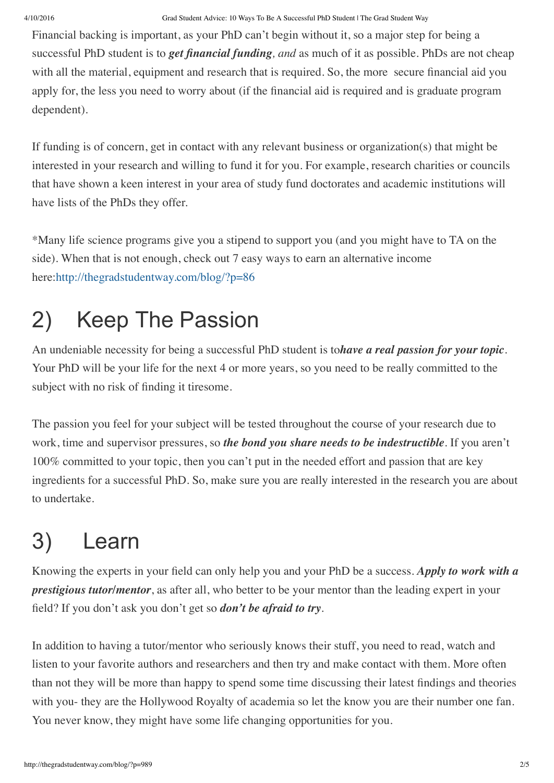Financial backing is important, as your PhD can't begin without it, so a major step for being a successful PhD student is to *get financial funding, and* as much of it as possible. PhDs are not cheap with all the material, equipment and research that is required. So, the more secure financial aid you apply for, the less you need to worry about (if the financial aid is required and is graduate program dependent).

If funding is of concern, get in contact with any relevant business or organization(s) that might be interested in your research and willing to fund it for you. For example, research charities or councils that have shown a keen interest in your area of study fund doctorates and academic institutions will have lists of the PhDs they offer.

\*Many life science programs give you a stipend to support you (and you might have to TA on the side). When that is not enough, check out 7 easy ways to earn an alternative income here[:http://thegradstudentway.com/blog/?p=86](http://thegradstudentway.com/blog/?p=86)

# 2) Keep The Passion

An undeniable necessity for being a successful PhD student is to*have a real passion for your topic*. Your PhD will be your life for the next 4 or more years, so you need to be really committed to the subject with no risk of finding it tiresome.

The passion you feel for your subject will be tested throughout the course of your research due to work, time and supervisor pressures, so *the bond you share needs to be indestructible*. If you aren't 100% committed to your topic, then you can't put in the needed effort and passion that are key ingredients for a successful PhD. So, make sure you are really interested in the research you are about to undertake.

# 3) Learn

Knowing the experts in your field can only help you and your PhD be a success. *Apply to work with a prestigious tutor/mentor*, as after all, who better to be your mentor than the leading expert in your field? If you don't ask you don't get so *don't be afraid to try*.

In addition to having a tutor/mentor who seriously knows their stuff, you need to read, watch and listen to your favorite authors and researchers and then try and make contact with them. More often than not they will be more than happy to spend some time discussing their latest findings and theories with you- they are the Hollywood Royalty of academia so let the know you are their number one fan. You never know, they might have some life changing opportunities for you.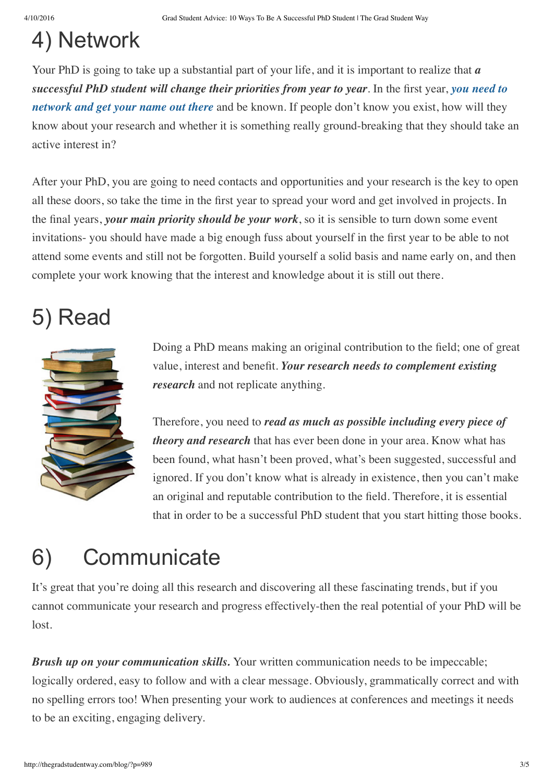### 4) Network

Your PhD is going to take up a substantial part of your life, and it is important to realize that *a [successful](http://thegradstudentway.com/blog/?p=548) PhD student will change their priorities from year to year*. In the first year, *you need to network and get your name out there* and be known. If people don't know you exist, how will they know about your research and whether it is something really ground-breaking that they should take an active interest in?

After your PhD, you are going to need contacts and opportunities and your research is the key to open all these doors, so take the time in the first year to spread your word and get involved in projects. In the final years, *your main priority should be your work*, so it is sensible to turn down some event invitations- you should have made a big enough fuss about yourself in the first year to be able to not attend some events and still not be forgotten. Build yourself a solid basis and name early on, and then complete your work knowing that the interest and knowledge about it is still out there.

#### 5) Read



Doing a PhD means making an original contribution to the field; one of great value, interest and benefit. *Your research needs to complement existing research* and not replicate anything.

Therefore, you need to *read as much as possible including every piece of theory and research* that has ever been done in your area. Know what has been found, what hasn't been proved, what's been suggested, successful and ignored. If you don't know what is already in existence, then you can't make an original and reputable contribution to the field. Therefore, it is essential that in order to be a successful PhD student that you start hitting those books.

## 6) Communicate

It's great that you're doing all this research and discovering all these fascinating trends, but if you cannot communicate your research and progress effectively-then the real potential of your PhD will be lost.

*Brush up on your communication skills.* Your written communication needs to be impeccable; logically ordered, easy to follow and with a clear message. Obviously, grammatically correct and with no spelling errors too! When presenting your work to audiences at conferences and meetings it needs to be an exciting, engaging delivery.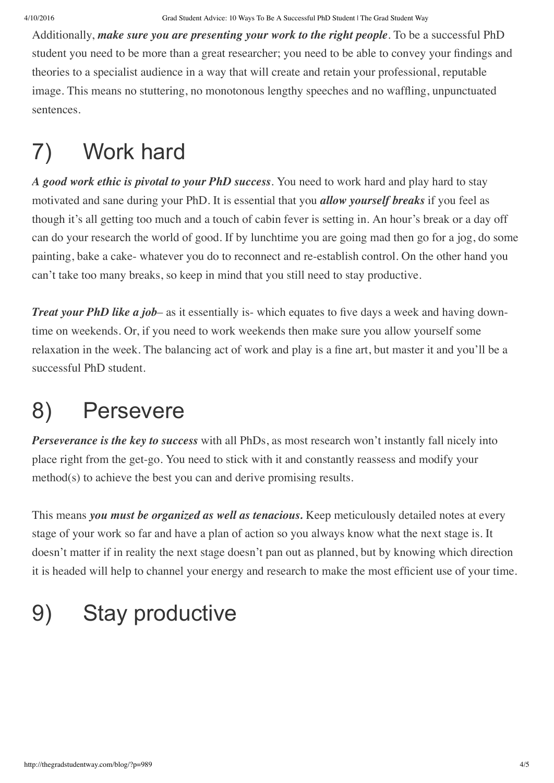Additionally, *make sure you are presenting your work to the right people*. To be a successful PhD student you need to be more than a great researcher; you need to be able to convey your findings and theories to a specialist audience in a way that will create and retain your professional, reputable image. This means no stuttering, no monotonous lengthy speeches and no waffling, unpunctuated sentences.

# 7) Work hard

*A good work ethic is pivotal to your PhD success*. You need to work hard and play hard to stay motivated and sane during your PhD. It is essential that you *allow yourself breaks* if you feel as though it's all getting too much and a touch of cabin fever is setting in. An hour's break or a day off can do your research the world of good. If by lunchtime you are going mad then go for a jog, do some painting, bake a cake- whatever you do to reconnect and re-establish control. On the other hand you can't take too many breaks, so keep in mind that you still need to stay productive.

*Treat your PhD like a job*– as it essentially is- which equates to five days a week and having downtime on weekends. Or, if you need to work weekends then make sure you allow yourself some relaxation in the week. The balancing act of work and play is a fine art, but master it and you'll be a successful PhD student.

## 8) Persevere

*Perseverance is the key to success* with all PhDs, as most research won't instantly fall nicely into place right from the get-go. You need to stick with it and constantly reassess and modify your method(s) to achieve the best you can and derive promising results.

This means *you must be organized as well as tenacious.* Keep meticulously detailed notes at every stage of your work so far and have a plan of action so you always know what the next stage is. It doesn't matter if in reality the next stage doesn't pan out as planned, but by knowing which direction it is headed will help to channel your energy and research to make the most efficient use of your time.

# 9) Stay productive